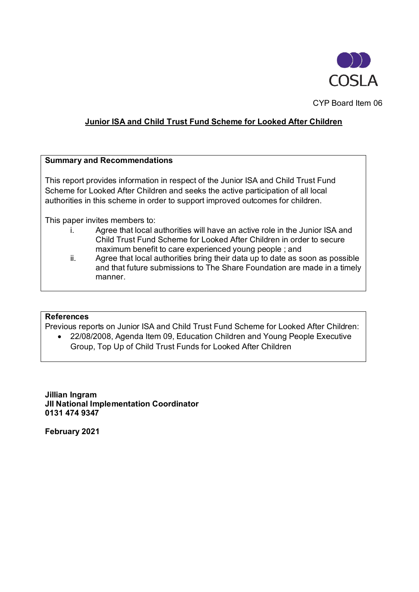

CYP Board Item 06

# **Junior ISA and Child Trust Fund Scheme for Looked After Children**

#### **Summary and Recommendations**

This report provides information in respect of the Junior ISA and Child Trust Fund Scheme for Looked After Children and seeks the active participation of all local authorities in this scheme in order to support improved outcomes for children.

This paper invites members to:

- i. Agree that local authorities will have an active role in the Junior ISA and Child Trust Fund Scheme for Looked After Children in order to secure maximum benefit to care experienced young people ; and
- ii. Agree that local authorities bring their data up to date as soon as possible and that future submissions to The Share Foundation are made in a timely manner.

#### **References**

Previous reports on Junior ISA and Child Trust Fund Scheme for Looked After Children:

• 22/08/2008, Agenda Item 09, Education Children and Young People Executive Group, Top Up of Child Trust Funds for Looked After Children

**Jillian Ingram JII National Implementation Coordinator 0131 474 9347**

**February 2021**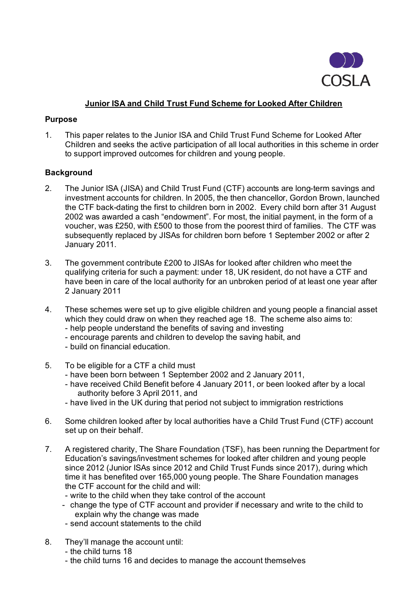

# **Junior ISA and Child Trust Fund Scheme for Looked After Children**

### **Purpose**

1. This paper relates to the Junior ISA and Child Trust Fund Scheme for Looked After Children and seeks the active participation of all local authorities in this scheme in order to support improved outcomes for children and young people.

## **Background**

- 2. The Junior ISA (JISA) and Child Trust Fund (CTF) accounts are long-term savings and investment accounts for children. In 2005, the then chancellor, Gordon Brown, launched the CTF back-dating the first to children born in 2002. Every child born after 31 August 2002 was awarded a cash "endowment". For most, the initial payment, in the form of a voucher, was £250, with £500 to those from the poorest third of families. The CTF was subsequently replaced by JISAs for children born before 1 September 2002 or after 2 January 2011.
- 3. The government contribute £200 to JISAs for looked after children who meet the qualifying criteria for such a payment: under 18, UK resident, do not have a CTF and have been in care of the local authority for an unbroken period of at least one year after 2 January 2011
- 4. These schemes were set up to give eligible children and young people a financial asset which they could draw on when they reached age 18. The scheme also aims to: - help people understand the benefits of saving and investing
	- encourage parents and children to develop the saving habit, and
	- build on financial education.
	-
- 5. To be eligible for a CTF a child must
	- have been born between 1 September 2002 and 2 January 2011,
	- have received Child Benefit before 4 January 2011, or been looked after by a local authority before 3 April 2011, and
	- have lived in the UK during that period not subject to immigration restrictions
- 6. Some children looked after by local authorities have a Child Trust Fund (CTF) account set up on their behalf.
- 7. A registered charity, The Share Foundation (TSF), has been running the Department for Education's savings/investment schemes for looked after children and young people since 2012 (Junior ISAs since 2012 and Child Trust Funds since 2017), during which time it has benefited over 165,000 young people. The Share Foundation manages the CTF account for the child and will:
	- write to the child when they take control of the account
	- change the type of CTF account and provider if necessary and write to the child to explain why the change was made
	- send account statements to the child
- 8. They'll manage the account until:
	- the child turns 18
	- the child turns 16 and decides to manage the account themselves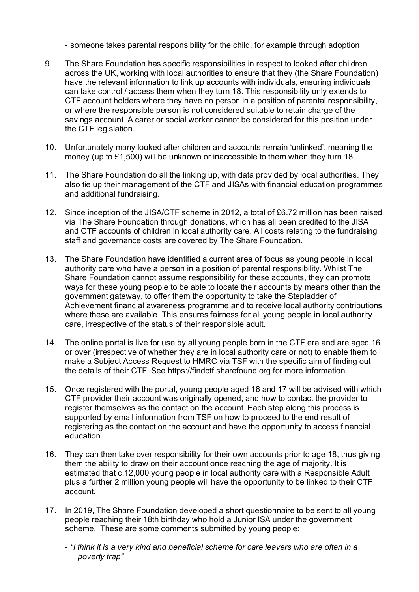- someone takes parental responsibility for the child, for example through adoption

- 9. The Share Foundation has specific responsibilities in respect to looked after children across the UK, working with local authorities to ensure that they (the Share Foundation) have the relevant information to link up accounts with individuals, ensuring individuals can take control / access them when they turn 18. This responsibility only extends to CTF account holders where they have no person in a position of parental responsibility, or where the responsible person is not considered suitable to retain charge of the savings account. A carer or social worker cannot be considered for this position under the CTF legislation.
- 10. Unfortunately many looked after children and accounts remain 'unlinked', meaning the money (up to £1,500) will be unknown or inaccessible to them when they turn 18.
- 11. The Share Foundation do all the linking up, with data provided by local authorities. They also tie up their management of the CTF and JISAs with financial education programmes and additional fundraising.
- 12. Since inception of the JISA/CTF scheme in 2012, a total of £6.72 million has been raised via The Share Foundation through donations, which has all been credited to the JISA and CTF accounts of children in local authority care. All costs relating to the fundraising staff and governance costs are covered by The Share Foundation.
- 13. The Share Foundation have identified a current area of focus as young people in local authority care who have a person in a position of parental responsibility. Whilst The Share Foundation cannot assume responsibility for these accounts, they can promote ways for these young people to be able to locate their accounts by means other than the government gateway, to offer them the opportunity to take the Stepladder of Achievement financial awareness programme and to receive local authority contributions where these are available. This ensures fairness for all young people in local authority care, irrespective of the status of their responsible adult.
- 14. The online portal is live for use by all young people born in the CTF era and are aged 16 or over (irrespective of whether they are in local authority care or not) to enable them to make a Subject Access Request to HMRC via TSF with the specific aim of finding out the details of their CTF. See https://findctf.sharefound.org for more information.
- 15. Once registered with the portal, young people aged 16 and 17 will be advised with which CTF provider their account was originally opened, and how to contact the provider to register themselves as the contact on the account. Each step along this process is supported by email information from TSF on how to proceed to the end result of registering as the contact on the account and have the opportunity to access financial education.
- 16. They can then take over responsibility for their own accounts prior to age 18, thus giving them the ability to draw on their account once reaching the age of majority. It is estimated that c.12,000 young people in local authority care with a Responsible Adult plus a further 2 million young people will have the opportunity to be linked to their CTF account.
- 17. In 2019, The Share Foundation developed a short questionnaire to be sent to all young people reaching their 18th birthday who hold a Junior ISA under the government scheme. These are some comments submitted by young people:
	- *"I think it is a very kind and beneficial scheme for care leavers who are often in a poverty trap"*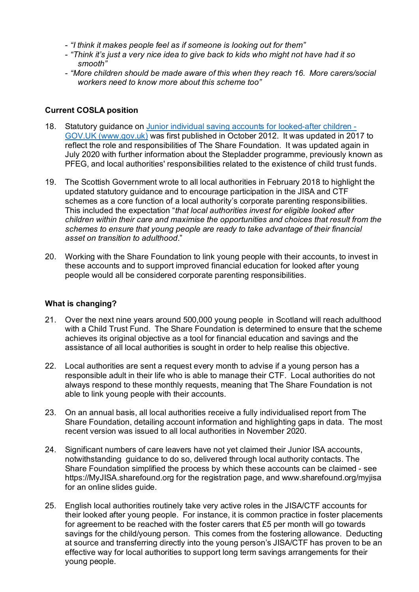- *"I think it makes people feel as if someone is looking out for them"*
- *"Think it's just a very nice idea to give back to kids who might not have had it so smooth"*
- *"More children should be made aware of this when they reach 16. More carers/social workers need to know more about this scheme too"*

#### **Current COSLA position**

- 18. Statutory guidance on [Junior individual saving accounts for looked-after children -](https://www.gov.uk/government/publications/junior-individual-saving-accounts-for-looked-after-children#history) [GOV.UK \(www.gov.uk\)](https://www.gov.uk/government/publications/junior-individual-saving-accounts-for-looked-after-children#history) was first published in October 2012. It was updated in 2017 to reflect the role and responsibilities of The Share Foundation. It was updated again in July 2020 with further information about the Stepladder programme, previously known as PFEG, and local authorities' responsibilities related to the existence of child trust funds.
- 19. The Scottish Government wrote to all local authorities in February 2018 to highlight the updated statutory guidance and to encourage participation in the JISA and CTF schemes as a core function of a local authority's corporate parenting responsibilities. This included the expectation "*that local authorities invest for eligible looked after children within their care and maximise the opportunities and choices that result from the schemes to ensure that young people are ready to take advantage of their financial asset on transition to adulthood*."
- 20. Working with the Share Foundation to link young people with their accounts, to invest in these accounts and to support improved financial education for looked after young people would all be considered corporate parenting responsibilities.

## **What is changing?**

- 21. Over the next nine years around 500,000 young people in Scotland will reach adulthood with a Child Trust Fund. The Share Foundation is determined to ensure that the scheme achieves its original objective as a tool for financial education and savings and the assistance of all local authorities is sought in order to help realise this objective.
- 22. Local authorities are sent a request every month to advise if a young person has a responsible adult in their life who is able to manage their CTF. Local authorities do not always respond to these monthly requests, meaning that The Share Foundation is not able to link young people with their accounts.
- 23. On an annual basis, all local authorities receive a fully individualised report from The Share Foundation, detailing account information and highlighting gaps in data. The most recent version was issued to all local authorities in November 2020.
- 24. Significant numbers of care leavers have not yet claimed their Junior ISA accounts, notwithstanding guidance to do so, delivered through local authority contacts. The Share Foundation simplified the process by which these accounts can be claimed - see https://MyJISA.sharefound.org for the registration page, and www.sharefound.org/myjisa for an online slides guide.
- 25. English local authorities routinely take very active roles in the JISA/CTF accounts for their looked after young people. For instance, it is common practice in foster placements for agreement to be reached with the foster carers that £5 per month will go towards savings for the child/young person. This comes from the fostering allowance. Deducting at source and transferring directly into the young person's JISA/CTF has proven to be an effective way for local authorities to support long term savings arrangements for their young people.